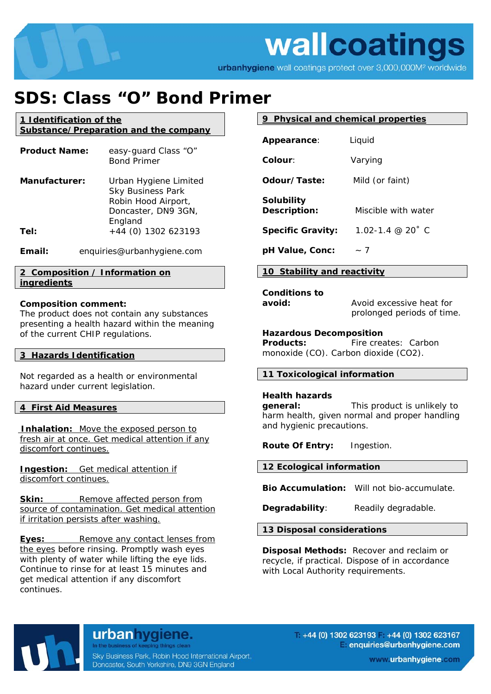## wallcoatings

urbanhygiene wall coatings protect over 3,000,000M<sup>2</sup> worldwide

### **SDS: Class "O" Bond Primer**

**1 Identification of the Substance/Preparation and the company**

| <b>Product Name:</b> | easy-guard Class "O"<br><b>Bond Primer</b>                                                                 |
|----------------------|------------------------------------------------------------------------------------------------------------|
| Manufacturer:        | Urban Hygiene Limited<br><b>Sky Business Park</b><br>Robin Hood Airport,<br>Doncaster, DN9 3GN,<br>England |
| Tel:                 | +44 (0) 1302 623193                                                                                        |

**Email:** enquiries@urbanhygiene.com

#### **2 Composition / Information on ingredients**

#### **Composition comment:**

The product does not contain any substances presenting a health hazard within the meaning of the current CHIP regulations.

#### **3 Hazards Identification**

Not regarded as a health or environmental hazard under current legislation.

#### **4 First Aid Measures**

 **Inhalation:** Move the exposed person to fresh air at once. Get medical attention if any discomfort continues.

**Ingestion:** Get medical attention if discomfort continues.

**Skin:** Remove affected person from source of contamination. Get medical attention if irritation persists after washing.

**Eyes:** Remove any contact lenses from the eyes before rinsing. Promptly wash eyes with plenty of water while lifting the eye lids. Continue to rinse for at least 15 minutes and get medical attention if any discomfort continues.

#### **9 Physical and chemical properties**

| <b>Appearance:</b>                | Liquid              |
|-----------------------------------|---------------------|
| Colour:                           | Varying             |
| Odour/Taste:                      | Mild (or faint)     |
| <b>Solubility</b><br>Description: | Miscible with water |
| <b>Specific Gravity:</b>          | 1.02-1.4 @ 20° C    |
| pH Value, Conc:                   | $\sim$ 7            |

#### **10 Stability and reactivity**

**Conditions to** 

**avoid:** Avoid excessive heat for prolonged periods of time.

#### **Hazardous Decomposition**

**Products:** Fire creates: Carbon monoxide (CO). Carbon dioxide (CO2).

#### **11 Toxicological information**

#### **Health hazards**

**general:** This product is unlikely to harm health, given normal and proper handling and hygienic precautions.

**Route Of Entry:** Ingestion.

#### **12 Ecological information**

**Bio Accumulation:** Will not bio-accumulate.

**Degradability:** Readily degradable.

**13 Disposal considerations** 

**Disposal Methods:** Recover and reclaim or recycle, if practical. Dispose of in accordance with Local Authority requirements.



urbanhygiene. In the business of keeping things clean

Sky Business Park, Robin Hood International Airport, Doncaster, South Yorkshire, DN9 3GN England

 $+44$  (0) 1302 623193 +44 (0) 1302 623167 enquiries@urbanhygiene.com